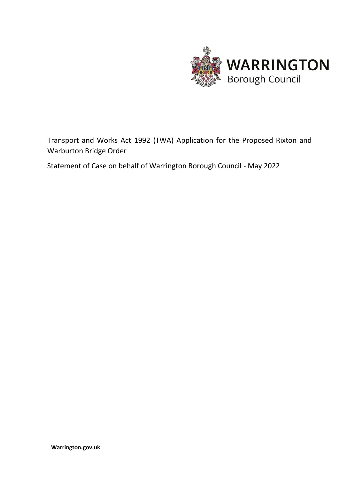

Transport and Works Act 1992 (TWA) Application for the Proposed Rixton and Warburton Bridge Order

Statement of Case on behalf of Warrington Borough Council - May 2022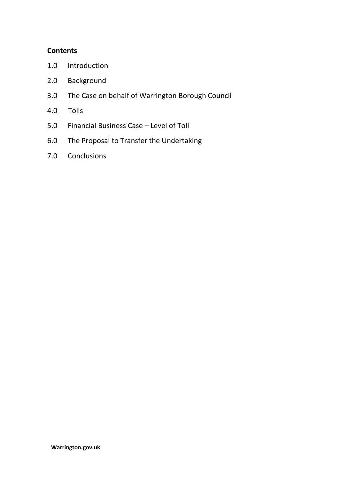# **Contents**

- 1.0 Introduction
- 2.0 Background
- 3.0 The Case on behalf of Warrington Borough Council
- 4.0 Tolls
- 5.0 Financial Business Case Level of Toll
- 6.0 The Proposal to Transfer the Undertaking
- 7.0 Conclusions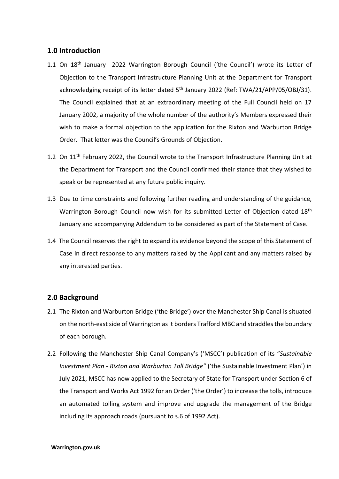# **1.0 Introduction**

- 1.1 On 18<sup>th</sup> January 2022 Warrington Borough Council ('the Council') wrote its Letter of Objection to the Transport Infrastructure Planning Unit at the Department for Transport acknowledging receipt of its letter dated 5<sup>th</sup> January 2022 (Ref: TWA/21/APP/05/OBJ/31). The Council explained that at an extraordinary meeting of the Full Council held on 17 January 2002, a majority of the whole number of the authority's Members expressed their wish to make a formal objection to the application for the Rixton and Warburton Bridge Order. That letter was the Council's Grounds of Objection.
- 1.2 On 11<sup>th</sup> February 2022, the Council wrote to the Transport Infrastructure Planning Unit at the Department for Transport and the Council confirmed their stance that they wished to speak or be represented at any future public inquiry.
- 1.3 Due to time constraints and following further reading and understanding of the guidance, Warrington Borough Council now wish for its submitted Letter of Objection dated 18<sup>th</sup> January and accompanying Addendum to be considered as part of the Statement of Case.
- 1.4 The Council reserves the right to expand its evidence beyond the scope of this Statement of Case in direct response to any matters raised by the Applicant and any matters raised by any interested parties.

# **2.0 Background**

- 2.1 The Rixton and Warburton Bridge ('the Bridge') over the Manchester Ship Canal is situated on the north-east side of Warrington as it borders Trafford MBC and straddles the boundary of each borough.
- 2.2 Following the Manchester Ship Canal Company's ('MSCC') publication of its "*Sustainable Investment Plan - Rixton and Warburton Toll Bridge"* ('the Sustainable Investment Plan') in July 2021, MSCC has now applied to the Secretary of State for Transport under Section 6 of the Transport and Works Act 1992 for an Order ('the Order') to increase the tolls, introduce an automated tolling system and improve and upgrade the management of the Bridge including its approach roads (pursuant to s.6 of 1992 Act).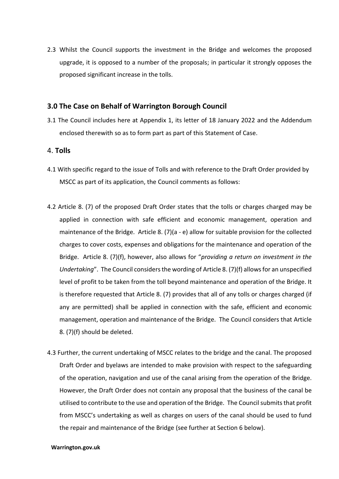2.3 Whilst the Council supports the investment in the Bridge and welcomes the proposed upgrade, it is opposed to a number of the proposals; in particular it strongly opposes the proposed significant increase in the tolls.

### **3.0 The Case on Behalf of Warrington Borough Council**

3.1 The Council includes here at Appendix 1, its letter of 18 January 2022 and the Addendum enclosed therewith so as to form part as part of this Statement of Case.

#### 4. **Tolls**

- 4.1 With specific regard to the issue of Tolls and with reference to the Draft Order provided by MSCC as part of its application, the Council comments as follows:
- 4.2 Article 8. (7) of the proposed Draft Order states that the tolls or charges charged may be applied in connection with safe efficient and economic management, operation and maintenance of the Bridge. Article 8. (7)(a - e) allow for suitable provision for the collected charges to cover costs, expenses and obligations for the maintenance and operation of the Bridge. Article 8. (7)(f), however, also allows for "*providing a return on investment in the Undertaking*". The Council considers the wording of Article 8. (7)(f) allows for an unspecified level of profit to be taken from the toll beyond maintenance and operation of the Bridge. It is therefore requested that Article 8. (7) provides that all of any tolls or charges charged (if any are permitted) shall be applied in connection with the safe, efficient and economic management, operation and maintenance of the Bridge. The Council considers that Article 8. (7)(f) should be deleted.
- 4.3 Further, the current undertaking of MSCC relates to the bridge and the canal. The proposed Draft Order and byelaws are intended to make provision with respect to the safeguarding of the operation, navigation and use of the canal arising from the operation of the Bridge. However, the Draft Order does not contain any proposal that the business of the canal be utilised to contribute to the use and operation of the Bridge. The Council submits that profit from MSCC's undertaking as well as charges on users of the canal should be used to fund the repair and maintenance of the Bridge (see further at Section 6 below).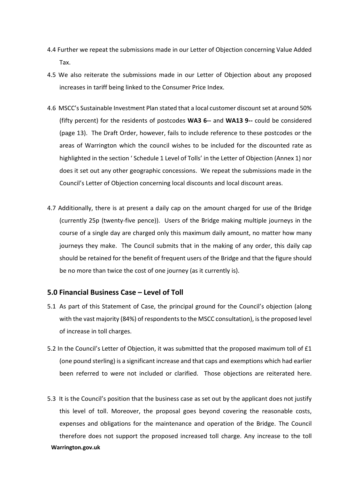- 4.4 Further we repeat the submissions made in our Letter of Objection concerning Value Added Tax.
- 4.5 We also reiterate the submissions made in our Letter of Objection about any proposed increases in tariff being linked to the Consumer Price Index.
- 4.6 MSCC's Sustainable Investment Plan stated that a local customer discount set at around 50% (fifty percent) for the residents of postcodes **WA3 6--** and **WA13 9--** could be considered (page 13). The Draft Order, however, fails to include reference to these postcodes or the areas of Warrington which the council wishes to be included for the discounted rate as highlighted in the section ' Schedule 1 Level of Tolls' in the Letter of Objection (Annex 1) nor does it set out any other geographic concessions. We repeat the submissions made in the Council's Letter of Objection concerning local discounts and local discount areas.
- 4.7 Additionally, there is at present a daily cap on the amount charged for use of the Bridge (currently 25p (twenty-five pence)). Users of the Bridge making multiple journeys in the course of a single day are charged only this maximum daily amount, no matter how many journeys they make. The Council submits that in the making of any order, this daily cap should be retained for the benefit of frequent users of the Bridge and that the figure should be no more than twice the cost of one journey (as it currently is).

#### **5.0 Financial Business Case – Level of Toll**

- 5.1 As part of this Statement of Case, the principal ground for the Council's objection (along with the vast majority (84%) of respondents to the MSCC consultation), is the proposed level of increase in toll charges.
- 5.2 In the Council's Letter of Objection, it was submitted that the proposed maximum toll of £1 (one pound sterling) is a significant increase and that caps and exemptions which had earlier been referred to were not included or clarified. Those objections are reiterated here.
- **Warrington.gov.uk** 5.3 It is the Council's position that the business case as set out by the applicant does not justify this level of toll. Moreover, the proposal goes beyond covering the reasonable costs, expenses and obligations for the maintenance and operation of the Bridge. The Council therefore does not support the proposed increased toll charge. Any increase to the toll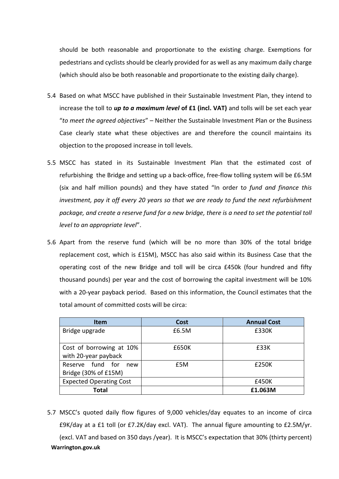should be both reasonable and proportionate to the existing charge. Exemptions for pedestrians and cyclists should be clearly provided for as well as any maximum daily charge (which should also be both reasonable and proportionate to the existing daily charge).

- 5.4 Based on what MSCC have published in their Sustainable Investment Plan, they intend to increase the toll to *up to a maximum level* **of £1 (incl. VAT)** and tolls will be set each year "*to meet the agreed objectives*" – Neither the Sustainable Investment Plan or the Business Case clearly state what these objectives are and therefore the council maintains its objection to the proposed increase in toll levels.
- 5.5 MSCC has stated in its Sustainable Investment Plan that the estimated cost of refurbishing the Bridge and setting up a back-office, free-flow tolling system will be £6.5M (six and half million pounds) and they have stated "In order t*o fund and finance this investment, pay it off every 20 years so that we are ready to fund the next refurbishment package, and create a reserve fund for a new bridge, there is a need to set the potential toll level to an appropriate level*".
- 5.6 Apart from the reserve fund (which will be no more than 30% of the total bridge replacement cost, which is £15M), MSCC has also said within its Business Case that the operating cost of the new Bridge and toll will be circa £450k (four hundred and fifty thousand pounds) per year and the cost of borrowing the capital investment will be 10% with a 20-year payback period. Based on this information, the Council estimates that the total amount of committed costs will be circa:

| <b>Item</b>                    | <b>Cost</b> | <b>Annual Cost</b> |
|--------------------------------|-------------|--------------------|
| Bridge upgrade                 | £6.5M       | £330K              |
|                                |             |                    |
| Cost of borrowing at 10%       | £650K       | £33K               |
| with 20-year payback           |             |                    |
| Reserve fund for<br>new        | £5M         | £250K              |
| Bridge (30% of £15M)           |             |                    |
| <b>Expected Operating Cost</b> |             | £450K              |
| <b>Total</b>                   |             | £1.063M            |

**Warrington.gov.uk** 5.7 MSCC's quoted daily flow figures of 9,000 vehicles/day equates to an income of circa £9K/day at a £1 toll (or £7.2K/day excl. VAT). The annual figure amounting to £2.5M/yr. (excl. VAT and based on 350 days /year). It is MSCC's expectation that 30% (thirty percent)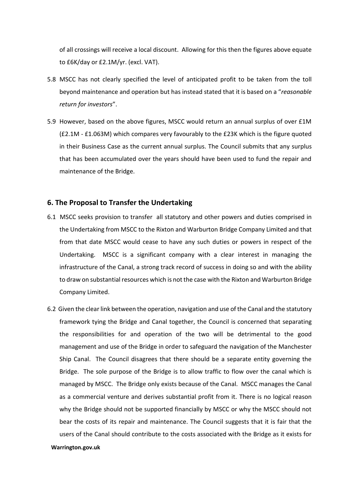of all crossings will receive a local discount. Allowing for this then the figures above equate to £6K/day or £2.1M/yr. (excl. VAT).

- 5.8 MSCC has not clearly specified the level of anticipated profit to be taken from the toll beyond maintenance and operation but has instead stated that it is based on a "*reasonable return for investors*".
- 5.9 However, based on the above figures, MSCC would return an annual surplus of over £1M (£2.1M - £1.063M) which compares very favourably to the £23K which is the figure quoted in their Business Case as the current annual surplus. The Council submits that any surplus that has been accumulated over the years should have been used to fund the repair and maintenance of the Bridge.

#### **6. The Proposal to Transfer the Undertaking**

- 6.1 MSCC seeks provision to transfer all statutory and other powers and duties comprised in the Undertaking from MSCC to the Rixton and Warburton Bridge Company Limited and that from that date MSCC would cease to have any such duties or powers in respect of the Undertaking. MSCC is a significant company with a clear interest in managing the infrastructure of the Canal, a strong track record of success in doing so and with the ability to draw on substantial resources which is not the case with the Rixton and Warburton Bridge Company Limited.
- 6.2 Given the clear link between the operation, navigation and use of the Canal and the statutory framework tying the Bridge and Canal together, the Council is concerned that separating the responsibilities for and operation of the two will be detrimental to the good management and use of the Bridge in order to safeguard the navigation of the Manchester Ship Canal. The Council disagrees that there should be a separate entity governing the Bridge. The sole purpose of the Bridge is to allow traffic to flow over the canal which is managed by MSCC. The Bridge only exists because of the Canal. MSCC manages the Canal as a commercial venture and derives substantial profit from it. There is no logical reason why the Bridge should not be supported financially by MSCC or why the MSCC should not bear the costs of its repair and maintenance. The Council suggests that it is fair that the users of the Canal should contribute to the costs associated with the Bridge as it exists for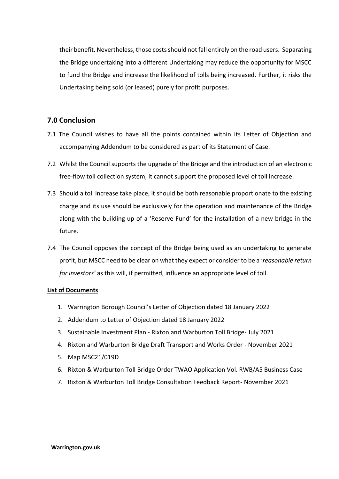their benefit. Nevertheless, those costs should not fall entirely on the road users. Separating the Bridge undertaking into a different Undertaking may reduce the opportunity for MSCC to fund the Bridge and increase the likelihood of tolls being increased. Further, it risks the Undertaking being sold (or leased) purely for profit purposes.

# **7.0 Conclusion**

- 7.1 The Council wishes to have all the points contained within its Letter of Objection and accompanying Addendum to be considered as part of its Statement of Case.
- 7.2 Whilst the Council supports the upgrade of the Bridge and the introduction of an electronic free-flow toll collection system, it cannot support the proposed level of toll increase.
- 7.3 Should a toll increase take place, it should be both reasonable proportionate to the existing charge and its use should be exclusively for the operation and maintenance of the Bridge along with the building up of a 'Reserve Fund' for the installation of a new bridge in the future.
- 7.4 The Council opposes the concept of the Bridge being used as an undertaking to generate profit, but MSCC need to be clear on what they expect or consider to be a '*reasonable return for investors'* as this will, if permitted, influence an appropriate level of toll.

#### **List of Documents**

- 1. Warrington Borough Council's Letter of Objection dated 18 January 2022
- 2. Addendum to Letter of Objection dated 18 January 2022
- 3. Sustainable Investment Plan Rixton and Warburton Toll Bridge- July 2021
- 4. Rixton and Warburton Bridge Draft Transport and Works Order November 2021
- 5. Map MSC21/019D
- 6. Rixton & Warburton Toll Bridge Order TWAO Application Vol. RWB/A5 Business Case
- 7. Rixton & Warburton Toll Bridge Consultation Feedback Report- November 2021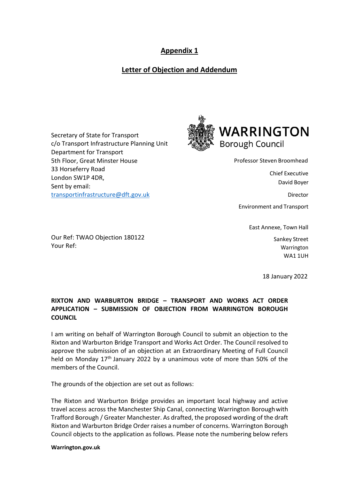# **Appendix 1**

# **Letter of Objection and Addendum**

Secretary of State for Transport c/o Transport Infrastructure Planning Unit Department for Transport 5th Floor, Great Minster House 33 Horseferry Road London SW1P 4DR, Sent by email: [transportinfrastructure@dft.gov.uk](mailto:transportinfrastructure@dft.gov.uk)

Our Ref: TWAO Objection 180122

Your Ref:



Professor Steven Broomhead

Chief Executive David Boyer

**Director** 

Environment and Transport

East Annexe, Town Hall

Sankey Street Warrington WA1 1UH

18 January 2022

# **RIXTON AND WARBURTON BRIDGE – TRANSPORT AND WORKS ACT ORDER APPLICATION – SUBMISSION OF OBJECTION FROM WARRINGTON BOROUGH COUNCIL**

I am writing on behalf of Warrington Borough Council to submit an objection to the Rixton and Warburton Bridge Transport and Works Act Order. The Council resolved to approve the submission of an objection at an Extraordinary Meeting of Full Council held on Monday 17<sup>th</sup> January 2022 by a unanimous vote of more than 50% of the members of the Council.

The grounds of the objection are set out as follows:

The Rixton and Warburton Bridge provides an important local highway and active travel access across the Manchester Ship Canal, connecting Warrington Boroughwith Trafford Borough / Greater Manchester. As drafted, the proposed wording of the draft Rixton and Warburton Bridge Order raises a number of concerns. Warrington Borough Council objects to the application as follows. Please note the numbering below refers

**Warrington.gov.uk**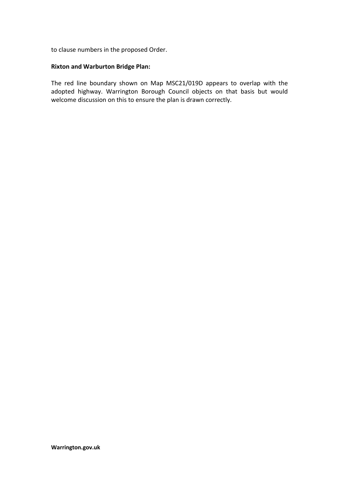to clause numbers in the proposed Order.

#### **Rixton and Warburton Bridge Plan:**

The red line boundary shown on Map MSC21/019D appears to overlap with the adopted highway. Warrington Borough Council objects on that basis but would welcome discussion on this to ensure the plan is drawn correctly.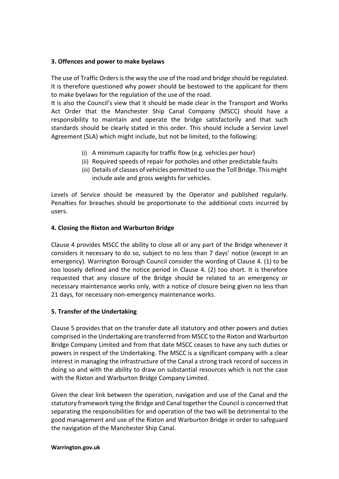#### **3. Offences and power to make byelaws**

The use of Traffic Orders is the way the use of the road and bridge should be regulated. It is therefore questioned why power should be bestowed to the applicant for them to make byelaws for the regulation of the use of the road.

It is also the Council's view that it should be made clear in the Transport and Works Act Order that the Manchester Ship Canal Company (MSCC) should have a responsibility to maintain and operate the bridge satisfactorily and that such standards should be clearly stated in this order. This should include a Service Level Agreement (SLA) which might include, but not be limited, to the following:

- (i) A minimum capacity for traffic flow (e.g. vehicles per hour)
- (ii) Required speeds of repair for potholes and other predictable faults
- (iii) Details of classes of vehicles permitted to use the Toll Bridge. This might include axle and gross weights for vehicles.

Levels of Service should be measured by the Operator and published regularly. Penalties for breaches should be proportionate to the additional costs incurred by users.

### **4. Closing the Rixton and Warburton Bridge**

Clause 4 provides MSCC the ability to close all or any part of the Bridge whenever it considers it necessary to do so, subject to no less than 7 days' notice (except in an emergency). Warrington Borough Council consider the wording of Clause 4. (1) to be too loosely defined and the notice period in Clause 4. (2) too short. It is therefore requested that any closure of the Bridge should be related to an emergency or necessary maintenance works only, with a notice of closure being given no less than 21 days, for necessary non-emergency maintenance works.

#### **5. Transfer of the Undertaking**

Clause 5 provides that on the transfer date all statutory and other powers and duties comprised in the Undertaking are transferred from MSCC to the Rixton and Warburton Bridge Company Limited and from that date MSCC ceases to have any such duties or powers in respect of the Undertaking. The MSCC is a significant company with a clear interest in managing the infrastructure of the Canal a strong track record of success in doing so and with the ability to draw on substantial resources which is not the case with the Rixton and Warburton Bridge Company Limited.

Given the clear link between the operation, navigation and use of the Canal and the statutory framework tying the Bridge and Canal together the Council is concerned that separating the responsibilities for and operation of the two will be detrimental to the good management and use of the Rixton and Warburton Bridge in order to safeguard the navigation of the Manchester Ship Canal.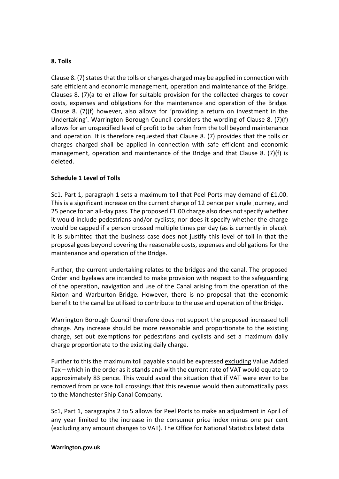#### **8. Tolls**

Clause 8.  $(7)$  states that the tolls or charges charged may be applied in connection with safe efficient and economic management, operation and maintenance of the Bridge. Clauses 8. (7)(a to e) allow for suitable provision for the collected charges to cover costs, expenses and obligations for the maintenance and operation of the Bridge. Clause 8. (7)(f) however, also allows for 'providing a return on investment in the Undertaking'. Warrington Borough Council considers the wording of Clause 8. (7)(f) allows for an unspecified level of profit to be taken from the toll beyond maintenance and operation. It is therefore requested that Clause 8. (7) provides that the tolls or charges charged shall be applied in connection with safe efficient and economic management, operation and maintenance of the Bridge and that Clause 8. (7)(f) is deleted.

#### **Schedule 1 Level of Tolls**

Sc1, Part 1, paragraph 1 sets a maximum toll that Peel Ports may demand of £1.00. This is a significant increase on the current charge of 12 pence per single journey, and 25 pence for an all-day pass. The proposed £1.00 charge also does not specify whether it would include pedestrians and/or cyclists; nor does it specify whether the charge would be capped if a person crossed multiple times per day (as is currently in place). It is submitted that the business case does not justify this level of toll in that the proposal goes beyond covering the reasonable costs, expenses and obligations for the maintenance and operation of the Bridge.

Further, the current undertaking relates to the bridges and the canal. The proposed Order and byelaws are intended to make provision with respect to the safeguarding of the operation, navigation and use of the Canal arising from the operation of the Rixton and Warburton Bridge. However, there is no proposal that the economic benefit to the canal be utilised to contribute to the use and operation of the Bridge.

Warrington Borough Council therefore does not support the proposed increased toll charge. Any increase should be more reasonable and proportionate to the existing charge, set out exemptions for pedestrians and cyclists and set a maximum daily charge proportionate to the existing daily charge.

Further to this the maximum toll payable should be expressed excluding Value Added Tax – which in the order as it stands and with the current rate of VAT would equate to approximately 83 pence. This would avoid the situation that if VAT were ever to be removed from private toll crossings that this revenue would then automatically pass to the Manchester Ship Canal Company.

Sc1, Part 1, paragraphs 2 to 5 allows for Peel Ports to make an adjustment in April of any year limited to the increase in the consumer price index minus one per cent (excluding any amount changes to VAT). The Office for National Statistics latest data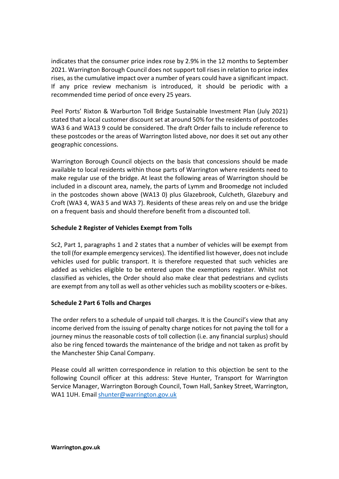indicates that the consumer price index rose by 2.9% in the 12 months to September 2021. Warrington Borough Council does not support toll risesin relation to price index rises, asthe cumulative impact over a number of years could have a significant impact. If any price review mechanism is introduced, it should be periodic with a recommended time period of once every 25 years.

Peel Ports' Rixton & Warburton Toll Bridge Sustainable Investment Plan (July 2021) stated that a local customer discount set at around 50% for the residents of postcodes WA3 6 and WA13 9 could be considered. The draft Order fails to include reference to these postcodes or the areas of Warrington listed above, nor does it set out any other geographic concessions.

Warrington Borough Council objects on the basis that concessions should be made available to local residents within those parts of Warrington where residents need to make regular use of the bridge. At least the following areas of Warrington should be included in a discount area, namely, the parts of Lymm and Broomedge not included in the postcodes shown above (WA13 0) plus Glazebrook, Culcheth, Glazebury and Croft (WA3 4, WA3 5 and WA3 7). Residents of these areas rely on and use the bridge on a frequent basis and should therefore benefit from a discounted toll.

### **Schedule 2 Register of Vehicles Exempt from Tolls**

Sc2, Part 1, paragraphs 1 and 2 states that a number of vehicles will be exempt from the toll (for example emergency services). The identified list however, does not include vehicles used for public transport. It is therefore requested that such vehicles are added as vehicles eligible to be entered upon the exemptions register. Whilst not classified as vehicles, the Order should also make clear that pedestrians and cyclists are exempt from any toll as well as other vehicles such as mobility scooters or e-bikes.

#### **Schedule 2 Part 6 Tolls and Charges**

The order refers to a schedule of unpaid toll charges. It is the Council's view that any income derived from the issuing of penalty charge notices for not paying the toll for a journey minus the reasonable costs of toll collection (i.e. any financial surplus) should also be ring fenced towards the maintenance of the bridge and not taken as profit by the Manchester Ship Canal Company.

Please could all written correspondence in relation to this objection be sent to the following Council officer at this address: Steve Hunter, Transport for Warrington Service Manager, Warrington Borough Council, Town Hall, Sankey Street, Warrington, WA1 1UH. Email [shunter@warrington.gov.uk](mailto:shunter@warrington.gov.uk)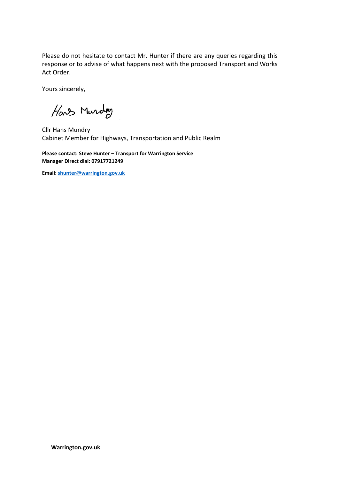Please do not hesitate to contact Mr. Hunter if there are any queries regarding this response or to advise of what happens next with the proposed Transport and Works Act Order.

Yours sincerely,

Have Murday

Cllr Hans Mundry Cabinet Member for Highways, Transportation and Public Realm

**Please contact: Steve Hunter – Transport for Warrington Service Manager Direct dial: 07917721249**

**Email[: shunter@warrington.gov.uk](mailto:shunter@warrington.gov.uk)**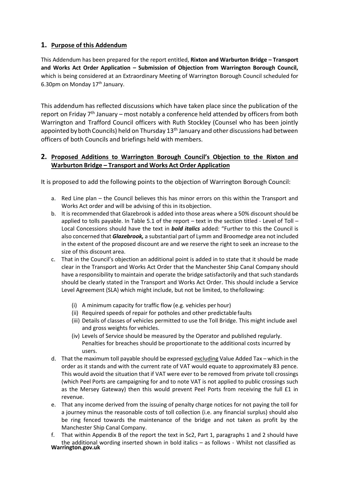# **1. Purpose of this Addendum**

This Addendum has been prepared for the report entitled, **Rixton and Warburton Bridge – Transport and Works Act Order Application – Submission of Objection from Warrington Borough Council,**  which is being considered at an Extraordinary Meeting of Warrington Borough Council scheduled for 6.30pm on Monday 17<sup>th</sup> January.

This addendum has reflected discussions which have taken place since the publication of the report on Friday 7<sup>th</sup> January – most notably a conference held attended by officers from both Warrington and Trafford Council officers with Ruth Stockley (Counsel who has been jointly appointed by both Councils) held on Thursday 13<sup>th</sup> January and other discussions had between officers of both Councils and briefings held with members.

# **2. Proposed Additions to Warrington Borough Council's Objection to the Rixton and Warburton Bridge – Transport and Works Act Order Application**

It is proposed to add the following points to the objection of Warrington Borough Council:

- a. Red Line plan the Council believes this has minor errors on this within the Transport and Works Act order and will be advising of this in itsobjection.
- b. It is recommended that Glazebrook is added into those areas where a 50% discount should be applied to tolls payable. In Table 5.1 of the report – text in the section titled - Level of Toll – Local Concessions should have the text in *bold italics* added: "Further to this the Council is also concerned that *Glazebrook,* a substantial part of Lymm and Broomedge area not included in the extent of the proposed discount are and we reserve the right to seek an increase to the size of this discount area.
- c. That in the Council's objection an additional point is added in to state that it should be made clear in the Transport and Works Act Order that the Manchester Ship Canal Company should have a responsibility to maintain and operate the bridge satisfactorily and that such standards should be clearly stated in the Transport and Works Act Order. This should include a Service Level Agreement (SLA) which might include, but not be limited, to thefollowing:
	- (i) A minimum capacity for traffic flow (e.g. vehicles per hour)
	- (ii) Required speeds of repair for potholes and other predictable faults
	- (iii) Details of classes of vehicles permitted to use the Toll Bridge. This might include axel and gross weights for vehicles.
	- (iv) Levels of Service should be measured by the Operator and published regularly. Penalties for breaches should be proportionate to the additional costs incurred by users.
- d. That the maximum toll payable should be expressed excluding Value Added Tax which in the order as it stands and with the current rate of VAT would equate to approximately 83 pence. This would avoid the situation that if VAT were ever to be removed from private toll crossings (which Peel Ports are campaigning for and to note VAT is not applied to public crossings such as the Mersey Gateway) then this would prevent Peel Ports from receiving the full £1 in revenue.
- e. That any income derived from the issuing of penalty charge notices for not paying the toll for a journey minus the reasonable costs of toll collection (i.e. any financial surplus) should also be ring fenced towards the maintenance of the bridge and not taken as profit by the Manchester Ship Canal Company.
- **Warrington.gov.uk** f. That within Appendix B of the report the text in Sc2, Part 1, paragraphs 1 and 2 should have the additional wording inserted shown in bold italics – as follows - Whilst not classified as